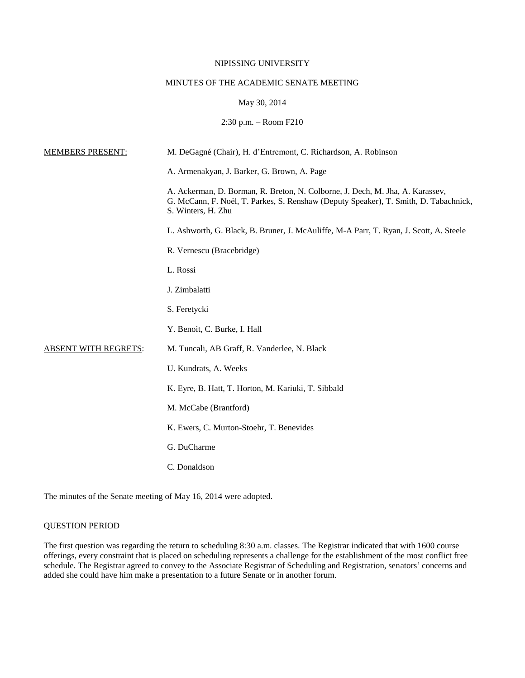## NIPISSING UNIVERSITY

# MINUTES OF THE ACADEMIC SENATE MEETING

# May 30, 2014

# 2:30 p.m. – Room F210

| <u>MEMBERS PRESENT:</u>     | M. DeGagné (Chair), H. d'Entremont, C. Richardson, A. Robinson                                                                                                                              |
|-----------------------------|---------------------------------------------------------------------------------------------------------------------------------------------------------------------------------------------|
|                             | A. Armenakyan, J. Barker, G. Brown, A. Page                                                                                                                                                 |
|                             | A. Ackerman, D. Borman, R. Breton, N. Colborne, J. Dech, M. Jha, A. Karassev,<br>G. McCann, F. Noël, T. Parkes, S. Renshaw (Deputy Speaker), T. Smith, D. Tabachnick,<br>S. Winters, H. Zhu |
|                             | L. Ashworth, G. Black, B. Bruner, J. McAuliffe, M-A Parr, T. Ryan, J. Scott, A. Steele                                                                                                      |
|                             | R. Vernescu (Bracebridge)                                                                                                                                                                   |
|                             | L. Rossi                                                                                                                                                                                    |
|                             | J. Zimbalatti                                                                                                                                                                               |
|                             | S. Feretycki                                                                                                                                                                                |
|                             | Y. Benoit, C. Burke, I. Hall                                                                                                                                                                |
| <b>ABSENT WITH REGRETS:</b> | M. Tuncali, AB Graff, R. Vanderlee, N. Black                                                                                                                                                |
|                             | U. Kundrats, A. Weeks                                                                                                                                                                       |
|                             | K. Eyre, B. Hatt, T. Horton, M. Kariuki, T. Sibbald                                                                                                                                         |
|                             | M. McCabe (Brantford)                                                                                                                                                                       |
|                             | K. Ewers, C. Murton-Stoehr, T. Benevides                                                                                                                                                    |
|                             | G. DuCharme                                                                                                                                                                                 |
|                             | C. Donaldson                                                                                                                                                                                |

The minutes of the Senate meeting of May 16, 2014 were adopted.

# QUESTION PERIOD

The first question was regarding the return to scheduling 8:30 a.m. classes. The Registrar indicated that with 1600 course offerings, every constraint that is placed on scheduling represents a challenge for the establishment of the most conflict free schedule. The Registrar agreed to convey to the Associate Registrar of Scheduling and Registration, senators' concerns and added she could have him make a presentation to a future Senate or in another forum.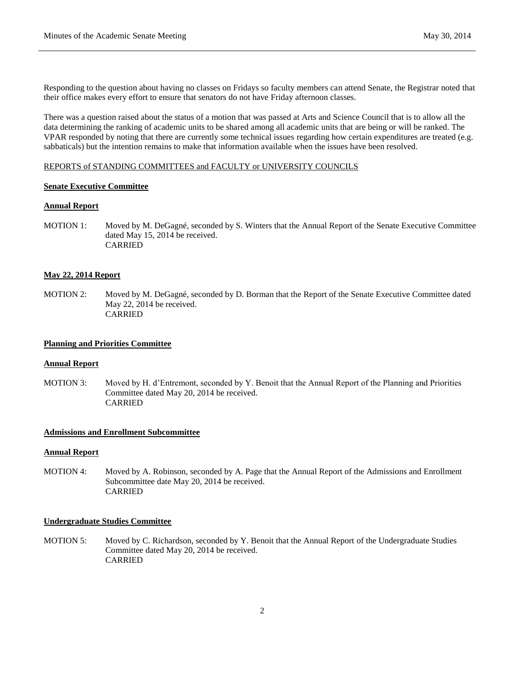Responding to the question about having no classes on Fridays so faculty members can attend Senate, the Registrar noted that their office makes every effort to ensure that senators do not have Friday afternoon classes.

There was a question raised about the status of a motion that was passed at Arts and Science Council that is to allow all the data determining the ranking of academic units to be shared among all academic units that are being or will be ranked. The VPAR responded by noting that there are currently some technical issues regarding how certain expenditures are treated (e.g. sabbaticals) but the intention remains to make that information available when the issues have been resolved.

## REPORTS of STANDING COMMITTEES and FACULTY or UNIVERSITY COUNCILS

## **Senate Executive Committee**

## **Annual Report**

MOTION 1: Moved by M. DeGagné, seconded by S. Winters that the Annual Report of the Senate Executive Committee dated May 15, 2014 be received. CARRIED

#### **May 22, 2014 Report**

MOTION 2: Moved by M. DeGagné, seconded by D. Borman that the Report of the Senate Executive Committee dated May 22, 2014 be received. CARRIED

## **Planning and Priorities Committee**

#### **Annual Report**

MOTION 3: Moved by H. d'Entremont, seconded by Y. Benoit that the Annual Report of the Planning and Priorities Committee dated May 20, 2014 be received. CARRIED

## **Admissions and Enrollment Subcommittee**

## **Annual Report**

MOTION 4: Moved by A. Robinson, seconded by A. Page that the Annual Report of the Admissions and Enrollment Subcommittee date May 20, 2014 be received. CARRIED

## **Undergraduate Studies Committee**

MOTION 5: Moved by C. Richardson, seconded by Y. Benoit that the Annual Report of the Undergraduate Studies Committee dated May 20, 2014 be received. CARRIED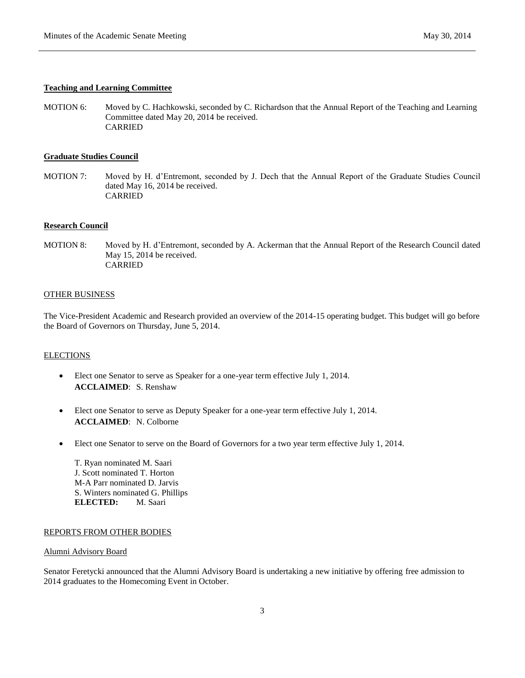### **Teaching and Learning Committee**

MOTION 6: Moved by C. Hachkowski, seconded by C. Richardson that the Annual Report of the Teaching and Learning Committee dated May 20, 2014 be received. CARRIED

# **Graduate Studies Council**

MOTION 7: Moved by H. d'Entremont, seconded by J. Dech that the Annual Report of the Graduate Studies Council dated May 16, 2014 be received. CARRIED

## **Research Council**

MOTION 8: Moved by H. d'Entremont, seconded by A. Ackerman that the Annual Report of the Research Council dated May 15, 2014 be received. CARRIED

#### OTHER BUSINESS

The Vice-President Academic and Research provided an overview of the 2014-15 operating budget. This budget will go before the Board of Governors on Thursday, June 5, 2014.

#### **ELECTIONS**

- Elect one Senator to serve as Speaker for a one-year term effective July 1, 2014. **ACCLAIMED**: S. Renshaw
- Elect one Senator to serve as Deputy Speaker for a one-year term effective July 1, 2014. **ACCLAIMED**: N. Colborne
- Elect one Senator to serve on the Board of Governors for a two year term effective July 1, 2014.

T. Ryan nominated M. Saari J. Scott nominated T. Horton M-A Parr nominated D. Jarvis S. Winters nominated G. Phillips **ELECTED:** M. Saari

# REPORTS FROM OTHER BODIES

# Alumni Advisory Board

Senator Feretycki announced that the Alumni Advisory Board is undertaking a new initiative by offering free admission to 2014 graduates to the Homecoming Event in October.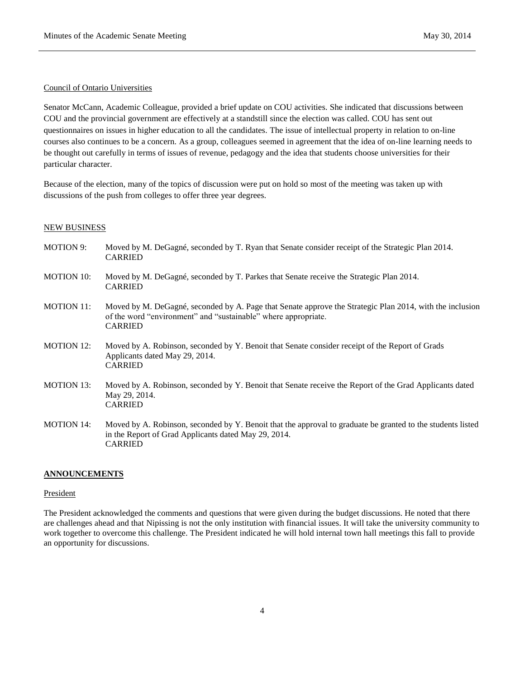#### Council of Ontario Universities

Senator McCann, Academic Colleague, provided a brief update on COU activities. She indicated that discussions between COU and the provincial government are effectively at a standstill since the election was called. COU has sent out questionnaires on issues in higher education to all the candidates. The issue of intellectual property in relation to on-line courses also continues to be a concern. As a group, colleagues seemed in agreement that the idea of on-line learning needs to be thought out carefully in terms of issues of revenue, pedagogy and the idea that students choose universities for their particular character.

Because of the election, many of the topics of discussion were put on hold so most of the meeting was taken up with discussions of the push from colleges to offer three year degrees.

#### NEW BUSINESS

| <b>MOTION 9:</b>  | Moved by M. DeGagné, seconded by T. Ryan that Senate consider receipt of the Strategic Plan 2014.<br><b>CARRIED</b>                                                                          |
|-------------------|----------------------------------------------------------------------------------------------------------------------------------------------------------------------------------------------|
| <b>MOTION 10:</b> | Moved by M. DeGagné, seconded by T. Parkes that Senate receive the Strategic Plan 2014.<br><b>CARRIED</b>                                                                                    |
| <b>MOTION 11:</b> | Moved by M. DeGagné, seconded by A. Page that Senate approve the Strategic Plan 2014, with the inclusion<br>of the word "environment" and "sustainable" where appropriate.<br><b>CARRIED</b> |
| <b>MOTION 12:</b> | Moved by A. Robinson, seconded by Y. Benoit that Senate consider receipt of the Report of Grads<br>Applicants dated May 29, 2014.<br><b>CARRIED</b>                                          |
| <b>MOTION 13:</b> | Moved by A. Robinson, seconded by Y. Benoit that Senate receive the Report of the Grad Applicants dated<br>May 29, 2014.<br><b>CARRIED</b>                                                   |
| <b>MOTION 14:</b> | Moved by A. Robinson, seconded by Y. Benoit that the approval to graduate be granted to the students listed<br>in the Report of Grad Applicants dated May 29, 2014.<br><b>CARRIED</b>        |

#### **ANNOUNCEMENTS**

# President

The President acknowledged the comments and questions that were given during the budget discussions. He noted that there are challenges ahead and that Nipissing is not the only institution with financial issues. It will take the university community to work together to overcome this challenge. The President indicated he will hold internal town hall meetings this fall to provide an opportunity for discussions.